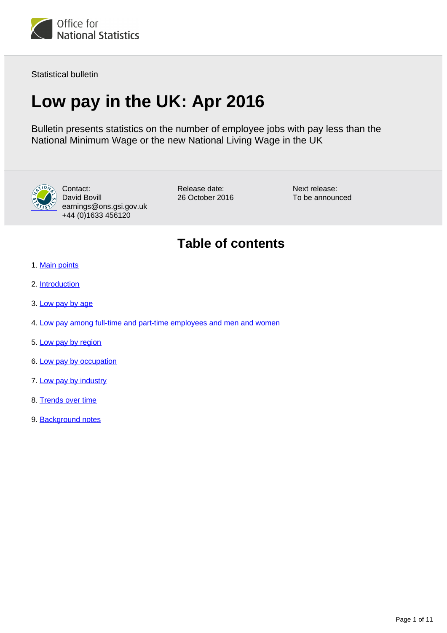

Statistical bulletin

# **Low pay in the UK: Apr 2016**

Bulletin presents statistics on the number of employee jobs with pay less than the National Minimum Wage or the new National Living Wage in the UK



Contact: David Bovill earnings@ons.gsi.gov.uk +44 (0)1633 456120

Release date: 26 October 2016 Next release: To be announced

# **Table of contents**

- 1. [Main points](#page-1-0)
- 2. [Introduction](#page-1-1)
- 3. [Low pay by age](#page-2-0)
- 4. [Low pay among full-time and part-time employees and men and women](#page-3-0)
- 5. [Low pay by region](#page-3-1)
- 6. [Low pay by occupation](#page-4-0)
- 7. [Low pay by industry](#page-5-0)
- 8. [Trends over time](#page-6-0)
- 9. Background notes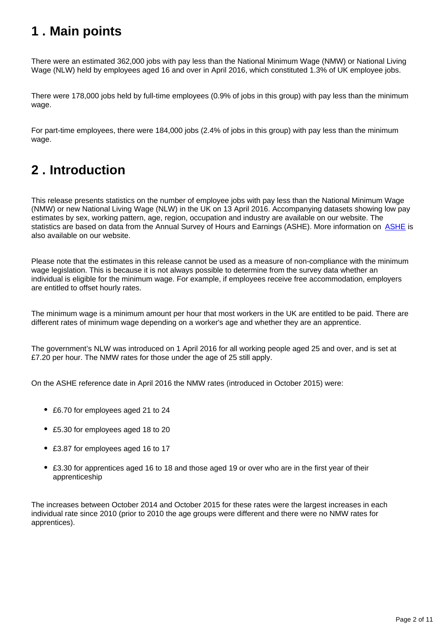# <span id="page-1-0"></span>**1 . Main points**

There were an estimated 362,000 jobs with pay less than the National Minimum Wage (NMW) or National Living Wage (NLW) held by employees aged 16 and over in April 2016, which constituted 1.3% of UK employee jobs.

There were 178,000 jobs held by full-time employees (0.9% of jobs in this group) with pay less than the minimum wage.

For part-time employees, there were 184,000 jobs (2.4% of jobs in this group) with pay less than the minimum wage.

# <span id="page-1-1"></span>**2 . Introduction**

This release presents statistics on the number of employee jobs with pay less than the National Minimum Wage (NMW) or new National Living Wage (NLW) in the UK on 13 April 2016. Accompanying datasets showing low pay estimates by sex, working pattern, age, region, occupation and industry are available on our website. The statistics are based on data from the Annual Survey of Hours and Earnings ([ASHE](http://www.ons.gov.uk/employmentandlabourmarket/peopleinwork/earningsandworkinghours/qmis/annualsurveyofhoursandearningslowpayandannualsurveyofhoursandearningspensionresultsqmi)). More information on **ASHE** is also available on our website.

Please note that the estimates in this release cannot be used as a measure of non-compliance with the minimum wage legislation. This is because it is not always possible to determine from the survey data whether an individual is eligible for the minimum wage. For example, if employees receive free accommodation, employers are entitled to offset hourly rates.

The minimum wage is a minimum amount per hour that most workers in the UK are entitled to be paid. There are different rates of minimum wage depending on a worker's age and whether they are an apprentice.

The government's NLW was introduced on 1 April 2016 for all working people aged 25 and over, and is set at £7.20 per hour. The NMW rates for those under the age of 25 still apply.

On the ASHE reference date in April 2016 the NMW rates (introduced in October 2015) were:

- £6.70 for employees aged 21 to 24
- £5.30 for employees aged 18 to 20
- £3.87 for employees aged 16 to 17
- £3.30 for apprentices aged 16 to 18 and those aged 19 or over who are in the first year of their apprenticeship

The increases between October 2014 and October 2015 for these rates were the largest increases in each individual rate since 2010 (prior to 2010 the age groups were different and there were no NMW rates for apprentices).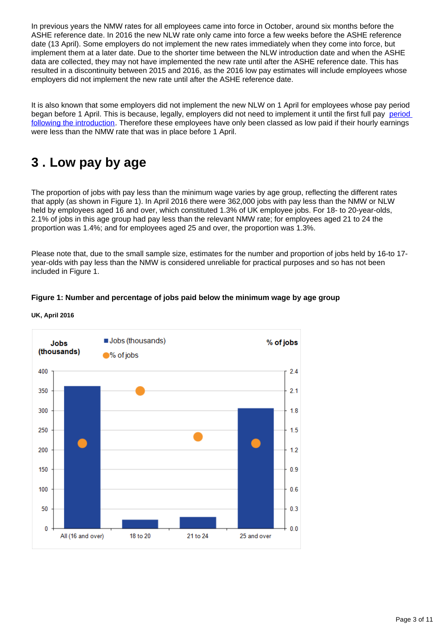In previous years the NMW rates for all employees came into force in October, around six months before the ASHE reference date. In 2016 the new NLW rate only came into force a few weeks before the ASHE reference date (13 April). Some employers do not implement the new rates immediately when they come into force, but implement them at a later date. Due to the shorter time between the NLW introduction date and when the ASHE data are collected, they may not have implemented the new rate until after the ASHE reference date. This has resulted in a discontinuity between 2015 and 2016, as the 2016 low pay estimates will include employees whose employers did not implement the new rate until after the ASHE reference date.

It is also known that some employers did not implement the new NLW on 1 April for employees whose pay period began before 1 April. This is because, legally, employers did not need to implement it until the first full pay [period](http://www.acas.org.uk/index.aspx?articleid=1902)  [following the introduction](http://www.acas.org.uk/index.aspx?articleid=1902). Therefore these employees have only been classed as low paid if their hourly earnings were less than the NMW rate that was in place before 1 April.

# <span id="page-2-0"></span>**3 . Low pay by age**

The proportion of jobs with pay less than the minimum wage varies by age group, reflecting the different rates that apply (as shown in Figure 1). In April 2016 there were 362,000 jobs with pay less than the NMW or NLW held by employees aged 16 and over, which constituted 1.3% of UK employee jobs. For 18- to 20-year-olds, 2.1% of jobs in this age group had pay less than the relevant NMW rate; for employees aged 21 to 24 the proportion was 1.4%; and for employees aged 25 and over, the proportion was 1.3%.

Please note that, due to the small sample size, estimates for the number and proportion of jobs held by 16-to 17 year-olds with pay less than the NMW is considered unreliable for practical purposes and so has not been included in Figure 1.

# **Figure 1: Number and percentage of jobs paid below the minimum wage by age group**



**UK, April 2016**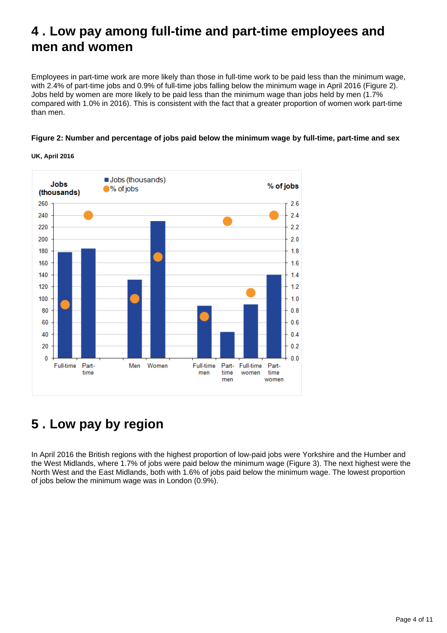# <span id="page-3-0"></span>**4 . Low pay among full-time and part-time employees and men and women**

Employees in part-time work are more likely than those in full-time work to be paid less than the minimum wage, with 2.4% of part-time jobs and 0.9% of full-time jobs falling below the minimum wage in April 2016 (Figure 2). Jobs held by women are more likely to be paid less than the minimum wage than jobs held by men (1.7% compared with 1.0% in 2016). This is consistent with the fact that a greater proportion of women work part-time than men.

## **Figure 2: Number and percentage of jobs paid below the minimum wage by full-time, part-time and sex**



**UK, April 2016**

# <span id="page-3-1"></span>**5 . Low pay by region**

In April 2016 the British regions with the highest proportion of low-paid jobs were Yorkshire and the Humber and the West Midlands, where 1.7% of jobs were paid below the minimum wage (Figure 3). The next highest were the North West and the East Midlands, both with 1.6% of jobs paid below the minimum wage. The lowest proportion of jobs below the minimum wage was in London (0.9%).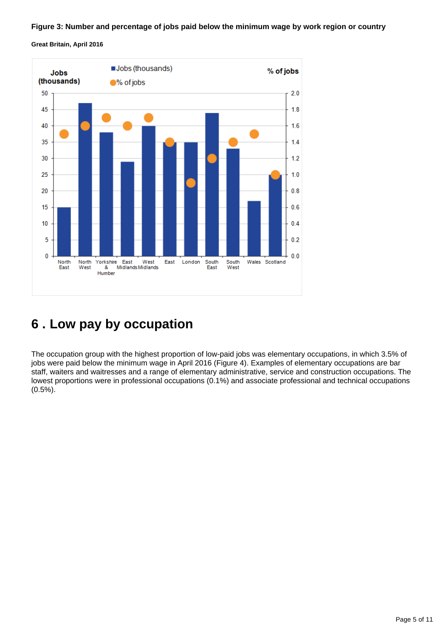#### **Figure 3: Number and percentage of jobs paid below the minimum wage by work region or country**

**Great Britain, April 2016**



# <span id="page-4-0"></span>**6 . Low pay by occupation**

The occupation group with the highest proportion of low-paid jobs was elementary occupations, in which 3.5% of jobs were paid below the minimum wage in April 2016 (Figure 4). Examples of elementary occupations are bar staff, waiters and waitresses and a range of elementary administrative, service and construction occupations. The lowest proportions were in professional occupations (0.1%) and associate professional and technical occupations (0.5%).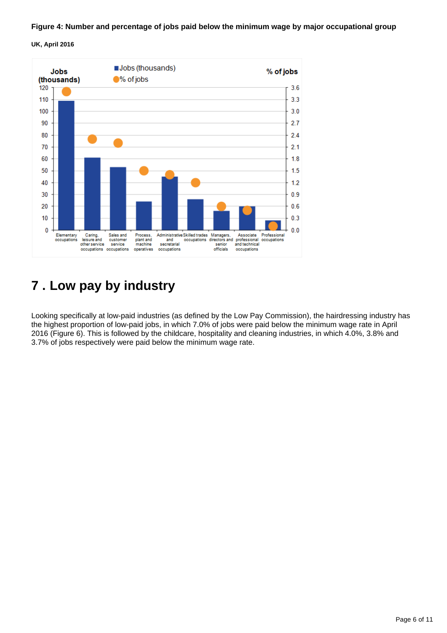## **Figure 4: Number and percentage of jobs paid below the minimum wage by major occupational group**

## **UK, April 2016**



# <span id="page-5-0"></span>**7 . Low pay by industry**

Looking specifically at low-paid industries (as defined by the Low Pay Commission), the hairdressing industry has the highest proportion of low-paid jobs, in which 7.0% of jobs were paid below the minimum wage rate in April 2016 (Figure 6). This is followed by the childcare, hospitality and cleaning industries, in which 4.0%, 3.8% and 3.7% of jobs respectively were paid below the minimum wage rate.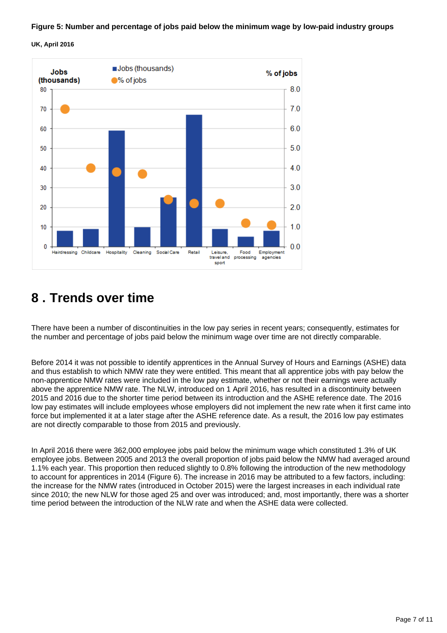## **Figure 5: Number and percentage of jobs paid below the minimum wage by low-paid industry groups**

## **UK, April 2016**



# <span id="page-6-0"></span>**8 . Trends over time**

There have been a number of discontinuities in the low pay series in recent years; consequently, estimates for the number and percentage of jobs paid below the minimum wage over time are not directly comparable.

Before 2014 it was not possible to identify apprentices in the Annual Survey of Hours and Earnings (ASHE) data and thus establish to which NMW rate they were entitled. This meant that all apprentice jobs with pay below the non-apprentice NMW rates were included in the low pay estimate, whether or not their earnings were actually above the apprentice NMW rate. The NLW, introduced on 1 April 2016, has resulted in a discontinuity between 2015 and 2016 due to the shorter time period between its introduction and the ASHE reference date. The 2016 low pay estimates will include employees whose employers did not implement the new rate when it first came into force but implemented it at a later stage after the ASHE reference date. As a result, the 2016 low pay estimates are not directly comparable to those from 2015 and previously.

In April 2016 there were 362,000 employee jobs paid below the minimum wage which constituted 1.3% of UK employee jobs. Between 2005 and 2013 the overall proportion of jobs paid below the NMW had averaged around 1.1% each year. This proportion then reduced slightly to 0.8% following the introduction of the new methodology to account for apprentices in 2014 (Figure 6). The increase in 2016 may be attributed to a few factors, including: the increase for the NMW rates (introduced in October 2015) were the largest increases in each individual rate since 2010; the new NLW for those aged 25 and over was introduced; and, most importantly, there was a shorter time period between the introduction of the NLW rate and when the ASHE data were collected.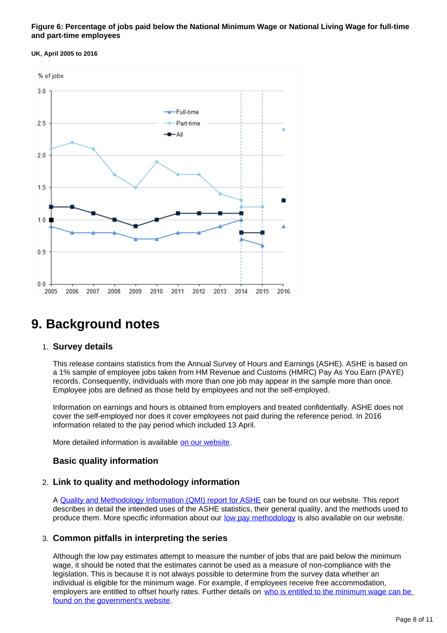### **Figure 6: Percentage of jobs paid below the National Minimum Wage or National Living Wage for full-time and part-time employees**

#### **UK, April 2005 to 2016**



# **9. Background notes**

### 1. **Survey details**

This release contains statistics from the Annual Survey of Hours and Earnings (ASHE). ASHE is based on a 1% sample of employee jobs taken from HM Revenue and Customs (HMRC) Pay As You Earn (PAYE) records. Consequently, individuals with more than one job may appear in the sample more than once. Employee jobs are defined as those held by employees and not the self-employed.

Information on earnings and hours is obtained from employers and treated confidentially. ASHE does not cover the self-employed nor does it cover employees not paid during the reference period. In 2016 information related to the pay period which included 13 April.

More detailed information is available [on our website](https://www.ons.gov.uk/employmentandlabourmarket/peopleinwork/earningsandworkinghours/bulletins/annualsurveyofhoursandearnings/previousReleases).

# **Basic quality information**

# 2. **Link to quality and methodology information**

A [Quality and Methodology Information \(QMI\) report for ASHE](http://www.ons.gov.uk/employmentandlabourmarket/peopleinwork/earningsandworkinghours/qmis/annualsurveyofhoursandearningslowpayandannualsurveyofhoursandearningspensionresultsqmi) can be found on our website. This report describes in detail the intended uses of the ASHE statistics, their general quality, and the methods used to produce them. More specific information about our [low pay methodology](http://www.ons.gov.uk/ons/guide-method/method-quality/specific/labour-market/annual-survey-of-hours-and-earnings/low-pay-estimates/index.html) is also available on our website.

# 3. **Common pitfalls in interpreting the series**

Although the low pay estimates attempt to measure the number of jobs that are paid below the minimum wage, it should be noted that the estimates cannot be used as a measure of non-compliance with the legislation. This is because it is not always possible to determine from the survey data whether an individual is eligible for the minimum wage. For example, if employees receive free accommodation, employers are entitled to offset hourly rates. Further details on who is entitled to the minimum wage can be [found on the government's website](https://www.gov.uk/national-minimum-wage/who-gets-the-minimum-wage).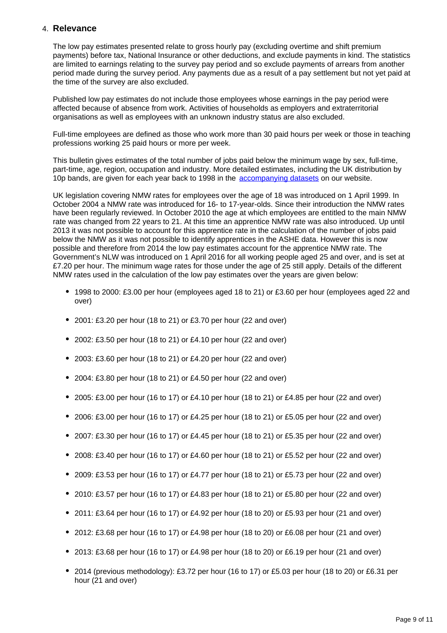# 4. **Relevance**

The low pay estimates presented relate to gross hourly pay (excluding overtime and shift premium payments) before tax, National Insurance or other deductions, and exclude payments in kind. The statistics are limited to earnings relating to the survey pay period and so exclude payments of arrears from another period made during the survey period. Any payments due as a result of a pay settlement but not yet paid at the time of the survey are also excluded.

Published low pay estimates do not include those employees whose earnings in the pay period were affected because of absence from work. Activities of households as employers and extraterritorial organisations as well as employees with an unknown industry status are also excluded.

Full-time employees are defined as those who work more than 30 paid hours per week or those in teaching professions working 25 paid hours or more per week.

This bulletin gives estimates of the total number of jobs paid below the minimum wage by sex, full-time, part-time, age, region, occupation and industry. More detailed estimates, including the UK distribution by 10p bands, are given for each year back to 1998 in the [accompanying datasets](https://www.ons.gov.uk/employmentandlabourmarket/peopleinwork/earningsandworkinghours/bulletins/lowpay/apr2016/relateddata) on our website.

UK legislation covering NMW rates for employees over the age of 18 was introduced on 1 April 1999. In October 2004 a NMW rate was introduced for 16- to 17-year-olds. Since their introduction the NMW rates have been regularly reviewed. In October 2010 the age at which employees are entitled to the main NMW rate was changed from 22 years to 21. At this time an apprentice NMW rate was also introduced. Up until 2013 it was not possible to account for this apprentice rate in the calculation of the number of jobs paid below the NMW as it was not possible to identify apprentices in the ASHE data. However this is now possible and therefore from 2014 the low pay estimates account for the apprentice NMW rate. The Government's NLW was introduced on 1 April 2016 for all working people aged 25 and over, and is set at £7.20 per hour. The minimum wage rates for those under the age of 25 still apply. Details of the different NMW rates used in the calculation of the low pay estimates over the years are given below:

- 1998 to 2000: £3.00 per hour (employees aged 18 to 21) or £3.60 per hour (employees aged 22 and over)
- 2001: £3.20 per hour (18 to 21) or £3.70 per hour (22 and over)
- 2002: £3.50 per hour (18 to 21) or £4.10 per hour (22 and over)
- 2003: £3.60 per hour (18 to 21) or £4.20 per hour (22 and over)
- 2004: £3.80 per hour (18 to 21) or £4.50 per hour (22 and over)
- $\bullet$  2005: £3.00 per hour (16 to 17) or £4.10 per hour (18 to 21) or £4.85 per hour (22 and over)
- $\bullet$  2006: £3.00 per hour (16 to 17) or £4.25 per hour (18 to 21) or £5.05 per hour (22 and over)
- $\bullet$  2007: £3.30 per hour (16 to 17) or £4.45 per hour (18 to 21) or £5.35 per hour (22 and over)
- 2008: £3.40 per hour (16 to 17) or £4.60 per hour (18 to 21) or £5.52 per hour (22 and over)
- $\bullet$  2009: £3.53 per hour (16 to 17) or £4.77 per hour (18 to 21) or £5.73 per hour (22 and over)
- $\bullet$  2010: £3.57 per hour (16 to 17) or £4.83 per hour (18 to 21) or £5.80 per hour (22 and over)
- 2011: £3.64 per hour (16 to 17) or £4.92 per hour (18 to 20) or £5.93 per hour (21 and over)
- 2012: £3.68 per hour (16 to 17) or £4.98 per hour (18 to 20) or £6.08 per hour (21 and over)
- 2013: £3.68 per hour (16 to 17) or £4.98 per hour (18 to 20) or £6.19 per hour (21 and over)
- 2014 (previous methodology): £3.72 per hour (16 to 17) or £5.03 per hour (18 to 20) or £6.31 per hour (21 and over)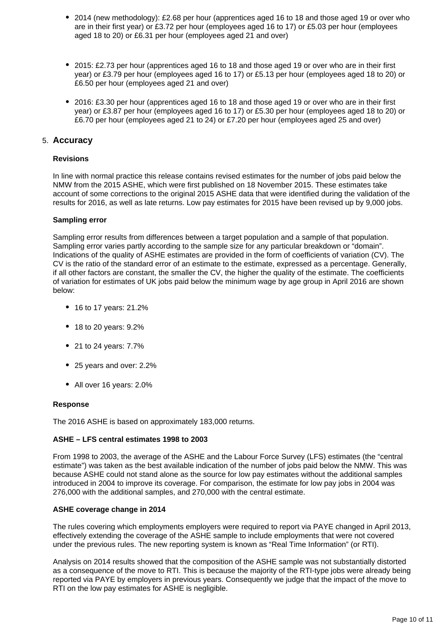- 2014 (new methodology): £2.68 per hour (apprentices aged 16 to 18 and those aged 19 or over who are in their first year) or £3.72 per hour (employees aged 16 to 17) or £5.03 per hour (employees aged 18 to 20) or £6.31 per hour (employees aged 21 and over)
- 2015: £2.73 per hour (apprentices aged 16 to 18 and those aged 19 or over who are in their first year) or £3.79 per hour (employees aged 16 to 17) or £5.13 per hour (employees aged 18 to 20) or £6.50 per hour (employees aged 21 and over)
- 2016: £3.30 per hour (apprentices aged 16 to 18 and those aged 19 or over who are in their first year) or £3.87 per hour (employees aged 16 to 17) or £5.30 per hour (employees aged 18 to 20) or £6.70 per hour (employees aged 21 to 24) or £7.20 per hour (employees aged 25 and over)

# 5. **Accuracy**

### **Revisions**

In line with normal practice this release contains revised estimates for the number of jobs paid below the NMW from the 2015 ASHE, which were first published on 18 November 2015. These estimates take account of some corrections to the original 2015 ASHE data that were identified during the validation of the results for 2016, as well as late returns. Low pay estimates for 2015 have been revised up by 9,000 jobs.

#### **Sampling error**

Sampling error results from differences between a target population and a sample of that population. Sampling error varies partly according to the sample size for any particular breakdown or "domain". Indications of the quality of ASHE estimates are provided in the form of coefficients of variation (CV). The CV is the ratio of the standard error of an estimate to the estimate, expressed as a percentage. Generally, if all other factors are constant, the smaller the CV, the higher the quality of the estimate. The coefficients of variation for estimates of UK jobs paid below the minimum wage by age group in April 2016 are shown below:

- 16 to 17 years: 21.2%
- 18 to 20 years: 9.2%
- 21 to 24 years: 7.7%
- 25 years and over: 2.2%
- All over 16 years: 2.0%

### **Response**

The 2016 ASHE is based on approximately 183,000 returns.

### **ASHE – LFS central estimates 1998 to 2003**

From 1998 to 2003, the average of the ASHE and the Labour Force Survey (LFS) estimates (the "central estimate") was taken as the best available indication of the number of jobs paid below the NMW. This was because ASHE could not stand alone as the source for low pay estimates without the additional samples introduced in 2004 to improve its coverage. For comparison, the estimate for low pay jobs in 2004 was 276,000 with the additional samples, and 270,000 with the central estimate.

### **ASHE coverage change in 2014**

The rules covering which employments employers were required to report via PAYE changed in April 2013, effectively extending the coverage of the ASHE sample to include employments that were not covered under the previous rules. The new reporting system is known as "Real Time Information" (or RTI).

Analysis on 2014 results showed that the composition of the ASHE sample was not substantially distorted as a consequence of the move to RTI. This is because the majority of the RTI-type jobs were already being reported via PAYE by employers in previous years. Consequently we judge that the impact of the move to RTI on the low pay estimates for ASHE is negligible.